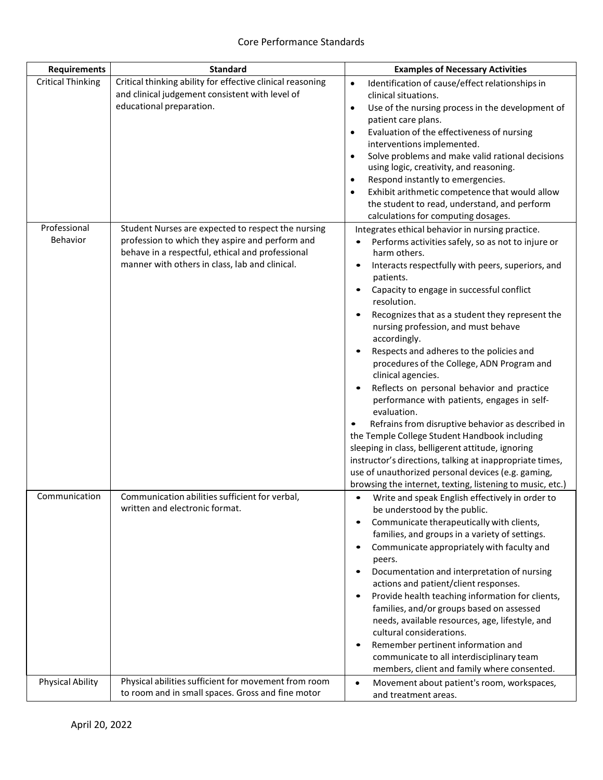| <b>Requirements</b>      | <b>Standard</b>                                                                                                                                                                                             | <b>Examples of Necessary Activities</b>                                                                                                                                                                                                                                                                                                                                                                                                                                                                                                                                                                                                                                                                                                                                                                                                                                                                                              |
|--------------------------|-------------------------------------------------------------------------------------------------------------------------------------------------------------------------------------------------------------|--------------------------------------------------------------------------------------------------------------------------------------------------------------------------------------------------------------------------------------------------------------------------------------------------------------------------------------------------------------------------------------------------------------------------------------------------------------------------------------------------------------------------------------------------------------------------------------------------------------------------------------------------------------------------------------------------------------------------------------------------------------------------------------------------------------------------------------------------------------------------------------------------------------------------------------|
| <b>Critical Thinking</b> | Critical thinking ability for effective clinical reasoning<br>and clinical judgement consistent with level of<br>educational preparation.                                                                   | Identification of cause/effect relationships in<br>$\bullet$<br>clinical situations.<br>Use of the nursing process in the development of<br>$\bullet$<br>patient care plans.<br>Evaluation of the effectiveness of nursing<br>$\bullet$<br>interventions implemented.<br>Solve problems and make valid rational decisions<br>$\bullet$<br>using logic, creativity, and reasoning.<br>Respond instantly to emergencies.<br>$\bullet$<br>Exhibit arithmetic competence that would allow<br>$\bullet$<br>the student to read, understand, and perform<br>calculations for computing dosages.                                                                                                                                                                                                                                                                                                                                            |
| Professional<br>Behavior | Student Nurses are expected to respect the nursing<br>profession to which they aspire and perform and<br>behave in a respectful, ethical and professional<br>manner with others in class, lab and clinical. | Integrates ethical behavior in nursing practice.<br>Performs activities safely, so as not to injure or<br>harm others.<br>Interacts respectfully with peers, superiors, and<br>patients.<br>Capacity to engage in successful conflict<br>resolution.<br>Recognizes that as a student they represent the<br>nursing profession, and must behave<br>accordingly.<br>Respects and adheres to the policies and<br>procedures of the College, ADN Program and<br>clinical agencies.<br>Reflects on personal behavior and practice<br>performance with patients, engages in self-<br>evaluation.<br>Refrains from disruptive behavior as described in<br>the Temple College Student Handbook including<br>sleeping in class, belligerent attitude, ignoring<br>instructor's directions, talking at inappropriate times,<br>use of unauthorized personal devices (e.g. gaming,<br>browsing the internet, texting, listening to music, etc.) |
| Communication            | Communication abilities sufficient for verbal,<br>written and electronic format.                                                                                                                            | Write and speak English effectively in order to<br>$\bullet$<br>be understood by the public.<br>Communicate therapeutically with clients,<br>families, and groups in a variety of settings.<br>Communicate appropriately with faculty and<br>peers.<br>Documentation and interpretation of nursing<br>$\bullet$<br>actions and patient/client responses.<br>Provide health teaching information for clients,<br>$\bullet$<br>families, and/or groups based on assessed<br>needs, available resources, age, lifestyle, and<br>cultural considerations.<br>Remember pertinent information and<br>communicate to all interdisciplinary team<br>members, client and family where consented.                                                                                                                                                                                                                                              |
| <b>Physical Ability</b>  | Physical abilities sufficient for movement from room<br>to room and in small spaces. Gross and fine motor                                                                                                   | Movement about patient's room, workspaces,<br>$\bullet$<br>and treatment areas.                                                                                                                                                                                                                                                                                                                                                                                                                                                                                                                                                                                                                                                                                                                                                                                                                                                      |